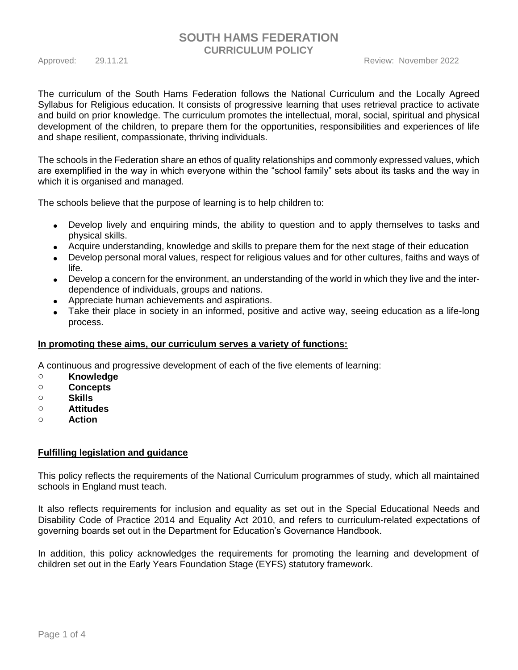## **SOUTH HAMS FEDERATION CURRICULUM POLICY**

The curriculum of the South Hams Federation follows the National Curriculum and the Locally Agreed Syllabus for Religious education. It consists of progressive learning that uses retrieval practice to activate and build on prior knowledge. The curriculum promotes the intellectual, moral, social, spiritual and physical development of the children, to prepare them for the opportunities, responsibilities and experiences of life and shape resilient, compassionate, thriving individuals.

The schools in the Federation share an ethos of quality relationships and commonly expressed values, which are exemplified in the way in which everyone within the "school family" sets about its tasks and the way in which it is organised and managed.

The schools believe that the purpose of learning is to help children to:

- Develop lively and enquiring minds, the ability to question and to apply themselves to tasks and physical skills.
- Acquire understanding, knowledge and skills to prepare them for the next stage of their education
- Develop personal moral values, respect for religious values and for other cultures, faiths and ways of life.
- Develop a concern for the environment, an understanding of the world in which they live and the interdependence of individuals, groups and nations.
- Appreciate human achievements and aspirations.
- Take their place in society in an informed, positive and active way, seeing education as a life-long process.

#### **In promoting these aims, our curriculum serves a variety of functions:**

A continuous and progressive development of each of the five elements of learning:

- o **Knowledge**
- o **Concepts**
- o **Skills**
- o **Attitudes**
- o **Action**

#### **Fulfilling legislation and guidance**

This policy reflects the requirements of the National Curriculum programmes of study, which all maintained schools in England must teach.

It also reflects requirements for inclusion and equality as set out in the Special Educational Needs and Disability Code of Practice 2014 and Equality Act 2010, and refers to curriculum-related expectations of governing boards set out in the Department for Education's Governance Handbook.

In addition, this policy acknowledges the requirements for promoting the learning and development of children set out in the Early Years Foundation Stage (EYFS) statutory framework.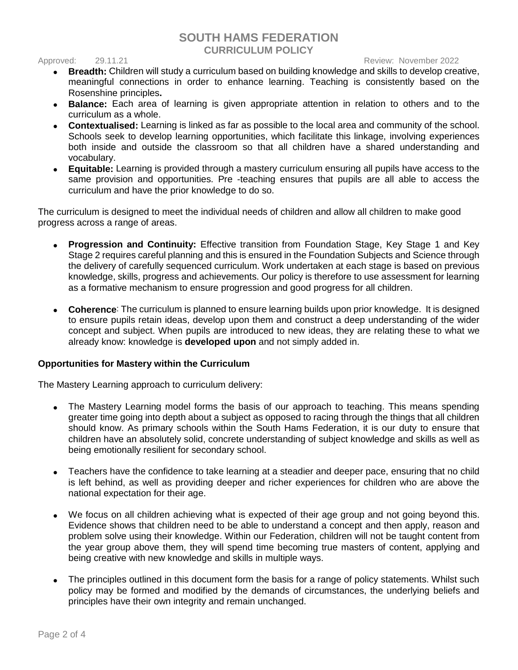## **SOUTH HAMS FEDERATION CURRICULUM POLICY**

#### Approved: 29.11.21 Review: November 2022

- **Breadth:** Children will study a curriculum based on building knowledge and skills to develop creative, meaningful connections in order to enhance learning. Teaching is consistently based on the Rosenshine principles**.**
- **Balance:** Each area of learning is given appropriate attention in relation to others and to the curriculum as a whole.
- **Contextualised:** Learning is linked as far as possible to the local area and community of the school. Schools seek to develop learning opportunities, which facilitate this linkage, involving experiences both inside and outside the classroom so that all children have a shared understanding and vocabulary.
- **Equitable:** Learning is provided through a mastery curriculum ensuring all pupils have access to the same provision and opportunities. Pre -teaching ensures that pupils are all able to access the curriculum and have the prior knowledge to do so.

The curriculum is designed to meet the individual needs of children and allow all children to make good progress across a range of areas.

- **Progression and Continuity:** Effective transition from Foundation Stage, Key Stage 1 and Key Stage 2 requires careful planning and this is ensured in the Foundation Subjects and Science through the delivery of carefully sequenced curriculum. Work undertaken at each stage is based on previous knowledge, skills, progress and achievements. Our policy is therefore to use assessment for learning as a formative mechanism to ensure progression and good progress for all children.
- **Coherence**: The curriculum is planned to ensure learning builds upon prior knowledge. It is designed to ensure pupils retain ideas, develop upon them and construct a deep understanding of the wider concept and subject. When pupils are introduced to new ideas, they are [relating these to what we](https://thescienceteacher.co.uk/cognitive-science-and-science-teaching/)  [already know:](https://thescienceteacher.co.uk/cognitive-science-and-science-teaching/) knowledge is **developed upon** and not simply added in.

#### **Opportunities for Mastery within the Curriculum**

The Mastery Learning approach to curriculum delivery:

- The Mastery Learning model forms the basis of our approach to teaching. This means spending greater time going into depth about a subject as opposed to racing through the things that all children should know. As primary schools within the South Hams Federation, it is our duty to ensure that children have an absolutely solid, concrete understanding of subject knowledge and skills as well as being emotionally resilient for secondary school.
- Teachers have the confidence to take learning at a steadier and deeper pace, ensuring that no child is left behind, as well as providing deeper and richer experiences for children who are above the national expectation for their age.
- We focus on all children achieving what is expected of their age group and not going beyond this. Evidence shows that children need to be able to understand a concept and then apply, reason and problem solve using their knowledge. Within our Federation, children will not be taught content from the year group above them, they will spend time becoming true masters of content, applying and being creative with new knowledge and skills in multiple ways.
- The principles outlined in this document form the basis for a range of policy statements. Whilst such policy may be formed and modified by the demands of circumstances, the underlying beliefs and principles have their own integrity and remain unchanged.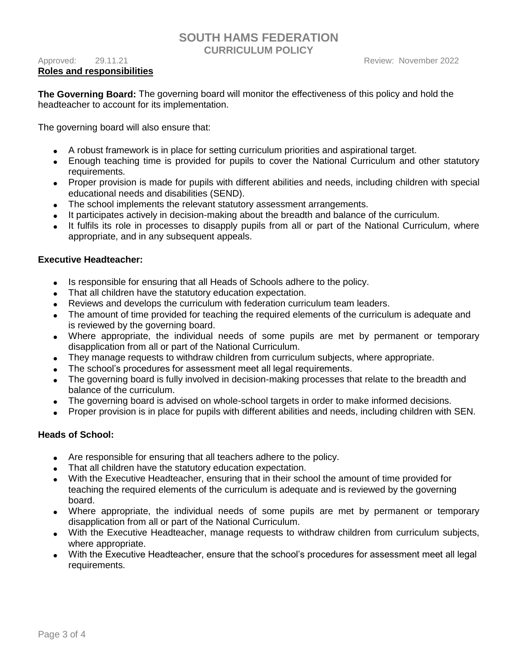# **SOUTH HAMS FEDERATION**

**CURRICULUM POLICY**

**The Governing Board:** The governing board will monitor the effectiveness of this policy and hold the headteacher to account for its implementation.

The governing board will also ensure that:

- A robust framework is in place for setting curriculum priorities and aspirational target.
- Enough teaching time is provided for pupils to cover the National Curriculum and other statutory requirements.
- Proper provision is made for pupils with different abilities and needs, including children with special educational needs and disabilities (SEND).
- The school implements the relevant statutory assessment arrangements.
- It participates actively in decision-making about the breadth and balance of the curriculum.
- It fulfils its role in processes to disapply pupils from all or part of the National Curriculum, where appropriate, and in any subsequent appeals.

#### **Executive Headteacher:**

- Is responsible for ensuring that all Heads of Schools adhere to the policy.
- That all children have the statutory education expectation.
- Reviews and develops the curriculum with federation curriculum team leaders.
- The amount of time provided for teaching the required elements of the curriculum is adequate and is reviewed by the governing board.
- Where appropriate, the individual needs of some pupils are met by permanent or temporary disapplication from all or part of the National Curriculum.
- They manage requests to withdraw children from curriculum subjects, where appropriate.
- The school's procedures for assessment meet all legal requirements.
- The governing board is fully involved in decision-making processes that relate to the breadth and balance of the curriculum.
- The governing board is advised on whole-school targets in order to make informed decisions.
- Proper provision is in place for pupils with different abilities and needs, including children with SEN.

#### **Heads of School:**

- Are responsible for ensuring that all teachers adhere to the policy.
- That all children have the statutory education expectation.
- With the Executive Headteacher, ensuring that in their school the amount of time provided for teaching the required elements of the curriculum is adequate and is reviewed by the governing board.
- Where appropriate, the individual needs of some pupils are met by permanent or temporary disapplication from all or part of the National Curriculum.
- With the Executive Headteacher, manage requests to withdraw children from curriculum subjects, where appropriate.
- With the Executive Headteacher, ensure that the school's procedures for assessment meet all legal requirements.